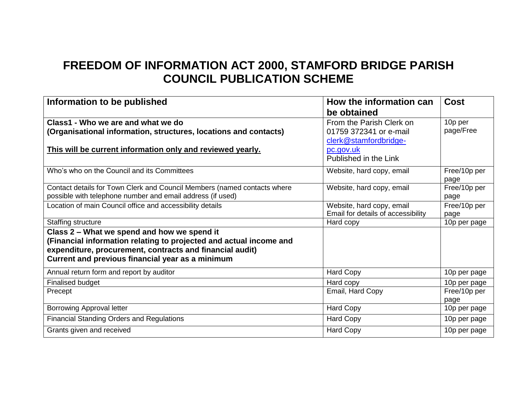## **FREEDOM OF INFORMATION ACT 2000, STAMFORD BRIDGE PARISH COUNCIL PUBLICATION SCHEME**

| Information to be published                                              | How the information can            | <b>Cost</b>  |
|--------------------------------------------------------------------------|------------------------------------|--------------|
|                                                                          | be obtained                        |              |
| Class1 - Who we are and what we do                                       | From the Parish Clerk on           | 10p per      |
| (Organisational information, structures, locations and contacts)         | 01759 372341 or e-mail             | page/Free    |
|                                                                          | clerk@stamfordbridge-              |              |
| This will be current information only and reviewed yearly.               | pc.gov.uk                          |              |
|                                                                          | Published in the Link              |              |
| Who's who on the Council and its Committees                              | Website, hard copy, email          | Free/10p per |
|                                                                          |                                    | page         |
| Contact details for Town Clerk and Council Members (named contacts where | Website, hard copy, email          | Free/10p per |
| possible with telephone number and email address (if used)               |                                    | page         |
| Location of main Council office and accessibility details                | Website, hard copy, email          | Free/10p per |
|                                                                          | Email for details of accessibility | page         |
| <b>Staffing structure</b>                                                | Hard copy                          | 10p per page |
| Class 2 - What we spend and how we spend it                              |                                    |              |
| (Financial information relating to projected and actual income and       |                                    |              |
| expenditure, procurement, contracts and financial audit)                 |                                    |              |
| Current and previous financial year as a minimum                         |                                    |              |
| Annual return form and report by auditor                                 | <b>Hard Copy</b>                   | 10p per page |
| <b>Finalised budget</b>                                                  | Hard copy                          | 10p per page |
| Precept                                                                  | Email, Hard Copy                   | Free/10p per |
|                                                                          |                                    | page         |
| <b>Borrowing Approval letter</b>                                         | <b>Hard Copy</b>                   | 10p per page |
| <b>Financial Standing Orders and Regulations</b>                         | Hard Copy                          | 10p per page |
| Grants given and received                                                | <b>Hard Copy</b>                   | 10p per page |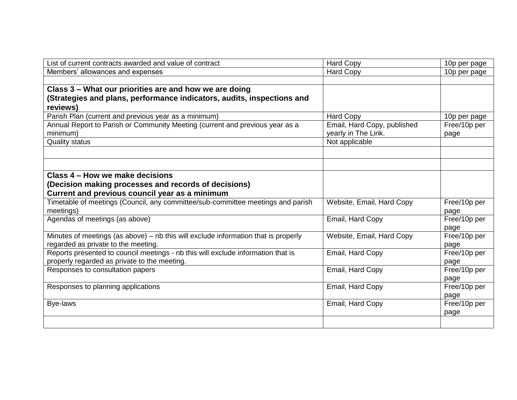| List of current contracts awarded and value of contract                            | <b>Hard Copy</b>            | 10p per page |
|------------------------------------------------------------------------------------|-----------------------------|--------------|
| Members' allowances and expenses                                                   | <b>Hard Copy</b>            | 10p per page |
|                                                                                    |                             |              |
| Class 3 - What our priorities are and how we are doing                             |                             |              |
| (Strategies and plans, performance indicators, audits, inspections and             |                             |              |
| reviews)                                                                           |                             |              |
| Parish Plan (current and previous year as a minimum)                               | <b>Hard Copy</b>            | 10p per page |
| Annual Report to Parish or Community Meeting (current and previous year as a       | Email, Hard Copy, published | Free/10p per |
| minimum)                                                                           | yearly in The Link.         | page         |
| <b>Quality status</b>                                                              | Not applicable              |              |
|                                                                                    |                             |              |
|                                                                                    |                             |              |
|                                                                                    |                             |              |
| Class 4 – How we make decisions                                                    |                             |              |
| (Decision making processes and records of decisions)                               |                             |              |
| Current and previous council year as a minimum                                     |                             |              |
| Timetable of meetings (Council, any committee/sub-committee meetings and parish    | Website, Email, Hard Copy   | Free/10p per |
| meetings)                                                                          |                             | page         |
| Agendas of meetings (as above)                                                     | Email, Hard Copy            | Free/10p per |
|                                                                                    |                             | page         |
| Minutes of meetings (as above) – nb this will exclude information that is properly | Website, Email, Hard Copy   | Free/10p per |
| regarded as private to the meeting.                                                |                             | page         |
| Reports presented to council meetings - nb this will exclude information that is   | Email, Hard Copy            | Free/10p per |
| properly regarded as private to the meeting.                                       |                             | page         |
| Responses to consultation papers                                                   | Email, Hard Copy            | Free/10p per |
|                                                                                    |                             | page         |
| Responses to planning applications                                                 | Email, Hard Copy            | Free/10p per |
|                                                                                    |                             | page         |
| Bye-laws                                                                           | Email, Hard Copy            | Free/10p per |
|                                                                                    |                             | page         |
|                                                                                    |                             |              |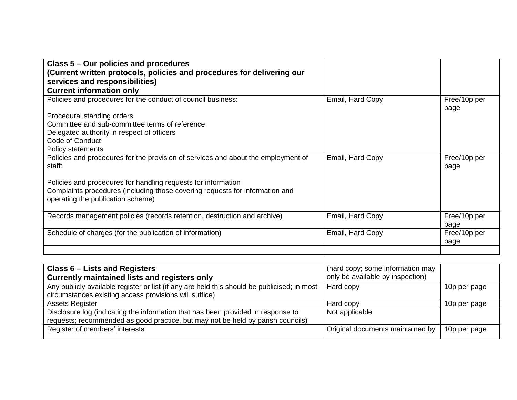| Class 5 – Our policies and procedures<br>(Current written protocols, policies and procedures for delivering our<br>services and responsibilities)<br><b>Current information only</b> |                  |                      |
|--------------------------------------------------------------------------------------------------------------------------------------------------------------------------------------|------------------|----------------------|
| Policies and procedures for the conduct of council business:                                                                                                                         | Email, Hard Copy | Free/10p per<br>page |
| Procedural standing orders                                                                                                                                                           |                  |                      |
| Committee and sub-committee terms of reference                                                                                                                                       |                  |                      |
| Delegated authority in respect of officers                                                                                                                                           |                  |                      |
| Code of Conduct                                                                                                                                                                      |                  |                      |
| Policy statements                                                                                                                                                                    |                  |                      |
| Policies and procedures for the provision of services and about the employment of<br>staff:                                                                                          | Email, Hard Copy | Free/10p per<br>page |
| Policies and procedures for handling requests for information                                                                                                                        |                  |                      |
| Complaints procedures (including those covering requests for information and<br>operating the publication scheme)                                                                    |                  |                      |
| Records management policies (records retention, destruction and archive)                                                                                                             | Email, Hard Copy | Free/10p per<br>page |
| Schedule of charges (for the publication of information)                                                                                                                             | Email, Hard Copy | Free/10p per<br>page |
|                                                                                                                                                                                      |                  |                      |

| Class 6 – Lists and Registers                                                               | (hard copy; some information may |              |
|---------------------------------------------------------------------------------------------|----------------------------------|--------------|
| Currently maintained lists and registers only                                               | only be available by inspection) |              |
| Any publicly available register or list (if any are held this should be publicised; in most | Hard copy                        | 10p per page |
| circumstances existing access provisions will suffice)                                      |                                  |              |
| <b>Assets Register</b>                                                                      | Hard copy                        | 10p per page |
| Disclosure log (indicating the information that has been provided in response to            | Not applicable                   |              |
| requests; recommended as good practice, but may not be held by parish councils)             |                                  |              |
| Register of members' interests                                                              | Original documents maintained by | 10p per page |
|                                                                                             |                                  |              |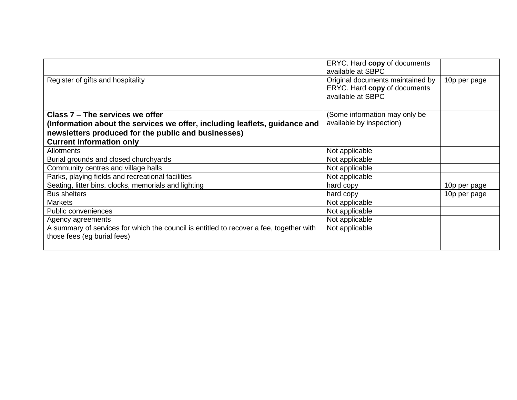| ERYC. Hard copy of documents     |              |
|----------------------------------|--------------|
| available at SBPC                |              |
| Original documents maintained by | 10p per page |
| ERYC. Hard copy of documents     |              |
| available at SBPC                |              |
|                                  |              |
| (Some information may only be    |              |
| available by inspection)         |              |
|                                  |              |
|                                  |              |
| Not applicable                   |              |
| Not applicable                   |              |
| Not applicable                   |              |
| Not applicable                   |              |
| hard copy                        | 10p per page |
| hard copy                        | 10p per page |
| Not applicable                   |              |
| Not applicable                   |              |
| Not applicable                   |              |
| Not applicable                   |              |
|                                  |              |
|                                  |              |
|                                  |              |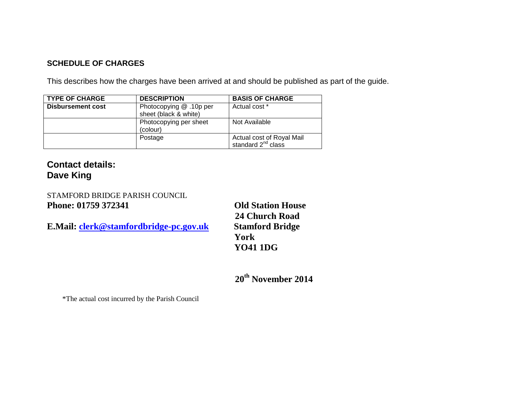## **SCHEDULE OF CHARGES**

This describes how the charges have been arrived at and should be published as part of the guide.

| <b>TYPE OF CHARGE</b>    | <b>DESCRIPTION</b>      | <b>BASIS OF CHARGE</b>    |
|--------------------------|-------------------------|---------------------------|
| <b>Disbursement cost</b> | Photocopying @ .10p per | Actual cost *             |
|                          | sheet (black & white)   |                           |
|                          | Photocopying per sheet  | Not Available             |
|                          | (colour)                |                           |
|                          | Postage                 | Actual cost of Royal Mail |
|                          |                         | standard $2^{nd}$ class   |

**Contact details: Dave King**

STAMFORD BRIDGE PARISH COUNCIL **Phone: 01759 372341 Old Station House**

**E.Mail: [clerk@stamfordbridge-pc.gov.uk](mailto:clerk@stamfordbridge-pc.gov.uk) Stamford Bridge**

**24 Church Road York YO41 1DG**

**20th November 2014**

\*The actual cost incurred by the Parish Council